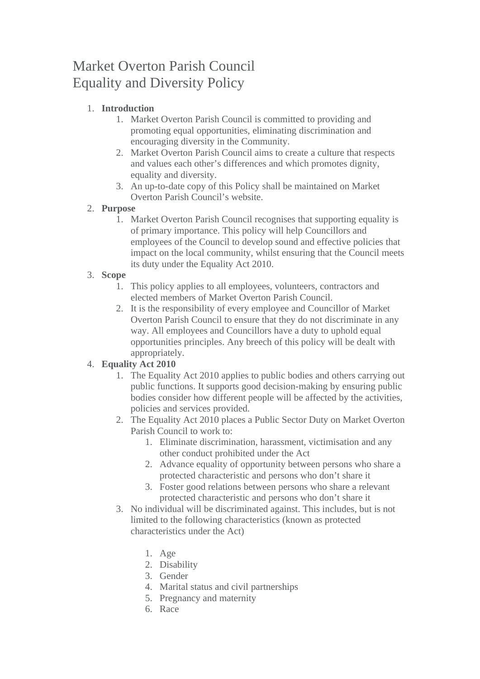# Market Overton Parish Council Equality and Diversity Policy

## 1. **Introduction**

- 1. Market Overton Parish Council is committed to providing and promoting equal opportunities, eliminating discrimination and encouraging diversity in the Community.
- 2. Market Overton Parish Council aims to create a culture that respects and values each other's differences and which promotes dignity, equality and diversity.
- 3. An up-to-date copy of this Policy shall be maintained on Market Overton Parish Council's website.

### 2. **Purpose**

1. Market Overton Parish Council recognises that supporting equality is of primary importance. This policy will help Councillors and employees of the Council to develop sound and effective policies that impact on the local community, whilst ensuring that the Council meets its duty under the Equality Act 2010.

### 3. **Scope**

- 1. This policy applies to all employees, volunteers, contractors and elected members of Market Overton Parish Council.
- 2. It is the responsibility of every employee and Councillor of Market Overton Parish Council to ensure that they do not discriminate in any way. All employees and Councillors have a duty to uphold equal opportunities principles. Any breech of this policy will be dealt with appropriately.

## 4. **Equality Act 2010**

- 1. The Equality Act 2010 applies to public bodies and others carrying out public functions. It supports good decision-making by ensuring public bodies consider how different people will be affected by the activities, policies and services provided.
- 2. The Equality Act 2010 places a Public Sector Duty on Market Overton Parish Council to work to:
	- 1. Eliminate discrimination, harassment, victimisation and any other conduct prohibited under the Act
	- 2. Advance equality of opportunity between persons who share a protected characteristic and persons who don't share it
	- 3. Foster good relations between persons who share a relevant protected characteristic and persons who don't share it
- 3. No individual will be discriminated against. This includes, but is not limited to the following characteristics (known as protected characteristics under the Act)
	- 1. Age
	- 2. Disability
	- 3. Gender
	- 4. Marital status and civil partnerships
	- 5. Pregnancy and maternity
	- 6. Race